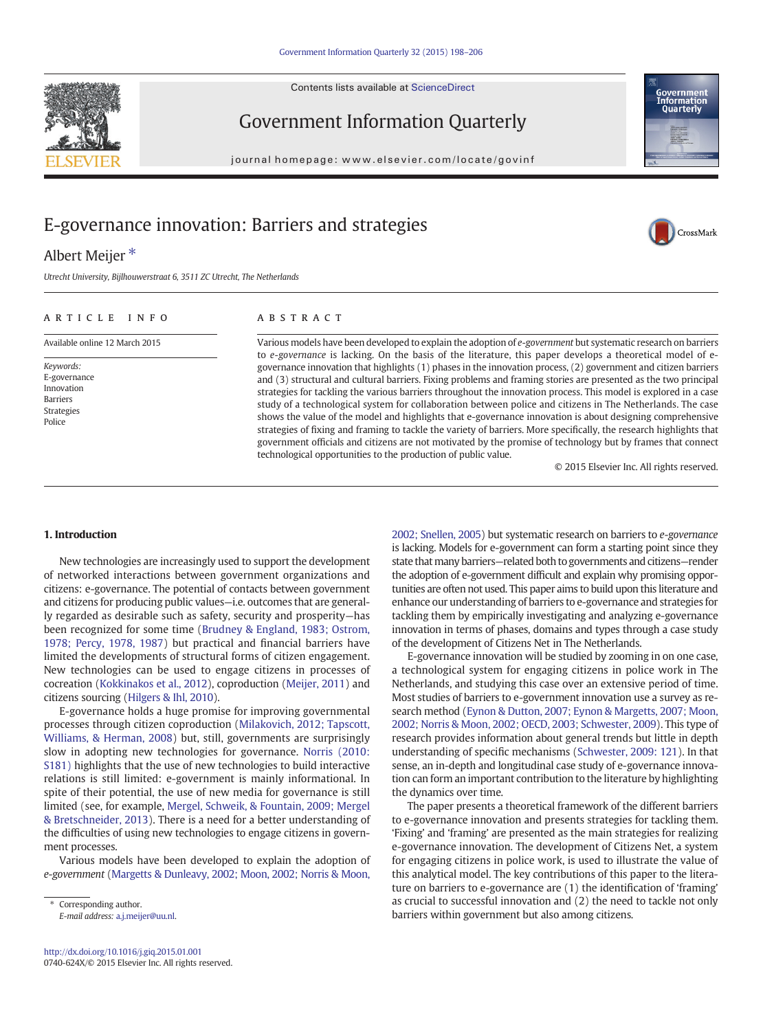Contents lists available at ScienceDirect





CrossMark

## Government Information Quarterly

journal homepage: www.elsevier.com/locate/govinf

# E-governance innovation: Barriers and strategies

## Albert Meijer<sup>\*</sup>

Utrecht University, Bijlhouwerstraat 6, 3511 ZC Utrecht, The Netherlands

#### article info abstract

Available online 12 March 2015

Keywords: E-governance Innovation Barriers Strategies Police

Various models have been developed to explain the adoption of e-government but systematic research on barriers to e-governance is lacking. On the basis of the literature, this paper develops a theoretical model of egovernance innovation that highlights (1) phases in the innovation process, (2) government and citizen barriers and (3) structural and cultural barriers. Fixing problems and framing stories are presented as the two principal strategies for tackling the various barriers throughout the innovation process. This model is explored in a case study of a technological system for collaboration between police and citizens in The Netherlands. The case shows the value of the model and highlights that e-governance innovation is about designing comprehensive strategies of fixing and framing to tackle the variety of barriers. More specifically, the research highlights that government officials and citizens are not motivated by the promise of technology but by frames that connect technological opportunities to the production of public value.

© 2015 Elsevier Inc. All rights reserved.

#### 1. Introduction

New technologies are increasingly used to support the development of networked interactions between government organizations and citizens: e-governance. The potential of contacts between government and citizens for producing public values—i.e. outcomes that are generally regarded as desirable such as safety, security and prosperity—has been recognized for some time ([Brudney & England, 1983; Ostrom,](#page-7-0) [1978; Percy, 1978, 1987\)](#page-7-0) but practical and financial barriers have limited the developments of structural forms of citizen engagement. New technologies can be used to engage citizens in processes of cocreation ([Kokkinakos et al., 2012\)](#page-8-0), coproduction [\(Meijer, 2011\)](#page-8-0) and citizens sourcing ([Hilgers & Ihl, 2010](#page-8-0)).

E-governance holds a huge promise for improving governmental processes through citizen coproduction [\(Milakovich, 2012; Tapscott,](#page-8-0) [Williams, & Herman, 2008\)](#page-8-0) but, still, governments are surprisingly slow in adopting new technologies for governance. [Norris \(2010:](#page-8-0) [S181\)](#page-8-0) highlights that the use of new technologies to build interactive relations is still limited: e-government is mainly informational. In spite of their potential, the use of new media for governance is still limited (see, for example, [Mergel, Schweik, & Fountain, 2009; Mergel](#page-8-0) [& Bretschneider, 2013](#page-8-0)). There is a need for a better understanding of the difficulties of using new technologies to engage citizens in government processes.

Various models have been developed to explain the adoption of e-government (Margetts & Dunleavy, 2002; [Moon, 2002; Norris & Moon,](#page-8-0)

[2002; Snellen, 2005](#page-8-0)) but systematic research on barriers to e-governance is lacking. Models for e-government can form a starting point since they state that many barriers—related both to governments and citizens—render the adoption of e-government difficult and explain why promising opportunities are often not used. This paper aims to build upon this literature and enhance our understanding of barriers to e-governance and strategies for tackling them by empirically investigating and analyzing e-governance innovation in terms of phases, domains and types through a case study of the development of Citizens Net in The Netherlands.

E-governance innovation will be studied by zooming in on one case, a technological system for engaging citizens in police work in The Netherlands, and studying this case over an extensive period of time. Most studies of barriers to e-government innovation use a survey as research method [\(Eynon & Dutton, 2007; Eynon & Margetts, 2007; Moon,](#page-7-0) [2002; Norris & Moon, 2002; OECD, 2003; Schwester, 2009](#page-7-0)). This type of research provides information about general trends but little in depth understanding of specific mechanisms ([Schwester, 2009: 121\)](#page-8-0). In that sense, an in-depth and longitudinal case study of e-governance innovation can form an important contribution to the literature by highlighting the dynamics over time.

The paper presents a theoretical framework of the different barriers to e-governance innovation and presents strategies for tackling them. 'Fixing' and 'framing' are presented as the main strategies for realizing e-governance innovation. The development of Citizens Net, a system for engaging citizens in police work, is used to illustrate the value of this analytical model. The key contributions of this paper to the literature on barriers to e-governance are (1) the identification of 'framing' as crucial to successful innovation and (2) the need to tackle not only barriers within government but also among citizens.

<sup>⁎</sup> Corresponding author. E-mail address: [a.j.meijer@uu.nl](mailto:a.j.meijer@uu.nl).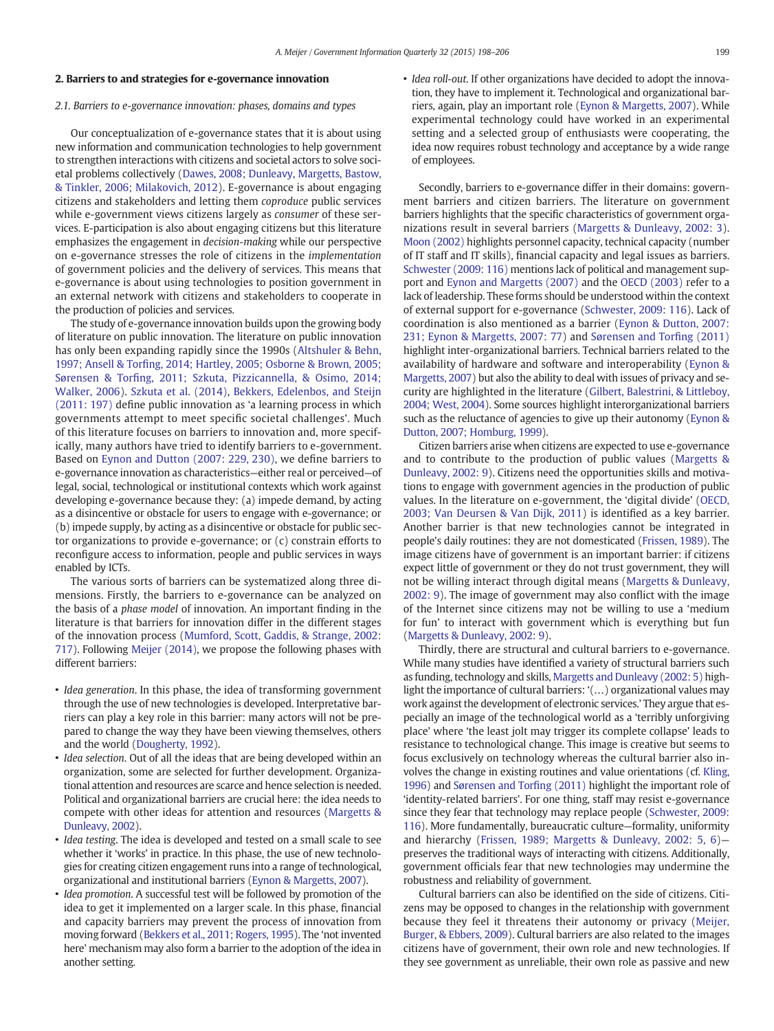#### 2. Barriers to and strategies for e-governance innovation

#### 2.1. Barriers to e-governance innovation: phases, domains and types

Our conceptualization of e-governance states that it is about using new information and communication technologies to help government to strengthen interactions with citizens and societal actors to solve societal problems collectively [\(Dawes, 2008; Dunleavy, Margetts, Bastow,](#page-7-0) [& Tinkler, 2006; Milakovich, 2012\)](#page-7-0). E-governance is about engaging citizens and stakeholders and letting them coproduce public services while e-government views citizens largely as consumer of these services. E-participation is also about engaging citizens but this literature emphasizes the engagement in decision-making while our perspective on e-governance stresses the role of citizens in the implementation of government policies and the delivery of services. This means that e-governance is about using technologies to position government in an external network with citizens and stakeholders to cooperate in the production of policies and services.

The study of e-governance innovation builds upon the growing body of literature on public innovation. The literature on public innovation has only been expanding rapidly since the 1990s [\(Altshuler & Behn,](#page-7-0) 1997; Ansell & Torfi[ng, 2014; Hartley, 2005; Osborne & Brown, 2005;](#page-7-0) Sørensen & Torfi[ng, 2011; Szkuta, Pizzicannella, & Osimo, 2014;](#page-7-0) [Walker, 2006\)](#page-7-0). [Szkuta et al. \(2014\)](#page-8-0), [Bekkers, Edelenbos, and Steijn](#page-7-0) [\(2011: 197\)](#page-7-0) define public innovation as 'a learning process in which governments attempt to meet specific societal challenges'. Much of this literature focuses on barriers to innovation and, more specifically, many authors have tried to identify barriers to e-government. Based on [Eynon and Dutton \(2007: 229, 230\),](#page-7-0) we define barriers to e-governance innovation as characteristics—either real or perceived—of legal, social, technological or institutional contexts which work against developing e-governance because they: (a) impede demand, by acting as a disincentive or obstacle for users to engage with e-governance; or (b) impede supply, by acting as a disincentive or obstacle for public sector organizations to provide e-governance; or (c) constrain efforts to reconfigure access to information, people and public services in ways enabled by ICTs.

The various sorts of barriers can be systematized along three dimensions. Firstly, the barriers to e-governance can be analyzed on the basis of a phase model of innovation. An important finding in the literature is that barriers for innovation differ in the different stages of the innovation process ([Mumford, Scott, Gaddis, & Strange, 2002:](#page-8-0) [717\)](#page-8-0). Following [Meijer \(2014\)](#page-8-0), we propose the following phases with different barriers:

- Idea generation. In this phase, the idea of transforming government through the use of new technologies is developed. Interpretative barriers can play a key role in this barrier: many actors will not be prepared to change the way they have been viewing themselves, others and the world [\(Dougherty, 1992](#page-7-0)).
- Idea selection. Out of all the ideas that are being developed within an organization, some are selected for further development. Organizational attention and resources are scarce and hence selection is needed. Political and organizational barriers are crucial here: the idea needs to compete with other ideas for attention and resources ([Margetts &](#page-8-0) [Dunleavy, 2002\)](#page-8-0).
- Idea testing. The idea is developed and tested on a small scale to see whether it 'works' in practice. In this phase, the use of new technologies for creating citizen engagement runs into a range of technological, organizational and institutional barriers [\(Eynon & Margetts, 2007\)](#page-7-0).
- Idea promotion. A successful test will be followed by promotion of the idea to get it implemented on a larger scale. In this phase, financial and capacity barriers may prevent the process of innovation from moving forward ([Bekkers et al., 2011; Rogers, 1995](#page-7-0)). The 'not invented here' mechanism may also form a barrier to the adoption of the idea in another setting.

• Idea roll-out. If other organizations have decided to adopt the innovation, they have to implement it. Technological and organizational barriers, again, play an important role [\(Eynon & Margetts, 2007\)](#page-7-0). While experimental technology could have worked in an experimental setting and a selected group of enthusiasts were cooperating, the idea now requires robust technology and acceptance by a wide range of employees.

Secondly, barriers to e-governance differ in their domains: government barriers and citizen barriers. The literature on government barriers highlights that the specific characteristics of government organizations result in several barriers [\(Margetts & Dunleavy, 2002: 3](#page-8-0)). [Moon \(2002\)](#page-8-0) highlights personnel capacity, technical capacity (number of IT staff and IT skills), financial capacity and legal issues as barriers. [Schwester \(2009: 116\)](#page-8-0) mentions lack of political and management support and [Eynon and Margetts \(2007\)](#page-7-0) and the [OECD \(2003\)](#page-8-0) refer to a lack of leadership. These forms should be understood within the context of external support for e-governance [\(Schwester, 2009: 116\)](#page-8-0). Lack of coordination is also mentioned as a barrier [\(Eynon & Dutton, 2007:](#page-7-0) [231; Eynon & Margetts, 2007: 77\)](#page-7-0) and [Sørensen and Tor](#page-8-0)fing (2011) highlight inter-organizational barriers. Technical barriers related to the availability of hardware and software and interoperability ([Eynon &](#page-7-0) [Margetts, 2007](#page-7-0)) but also the ability to deal with issues of privacy and security are highlighted in the literature ([Gilbert, Balestrini, & Littleboy,](#page-7-0) [2004; West, 2004](#page-7-0)). Some sources highlight interorganizational barriers such as the reluctance of agencies to give up their autonomy [\(Eynon &](#page-7-0) [Dutton, 2007; Homburg, 1999\)](#page-7-0).

Citizen barriers arise when citizens are expected to use e-governance and to contribute to the production of public values ([Margetts &](#page-8-0) [Dunleavy, 2002: 9\)](#page-8-0). Citizens need the opportunities skills and motivations to engage with government agencies in the production of public values. In the literature on e-government, the 'digital divide' [\(OECD,](#page-8-0) [2003; Van Deursen & Van Dijk, 2011](#page-8-0)) is identified as a key barrier. Another barrier is that new technologies cannot be integrated in people's daily routines: they are not domesticated [\(Frissen, 1989](#page-7-0)). The image citizens have of government is an important barrier: if citizens expect little of government or they do not trust government, they will not be willing interact through digital means [\(Margetts & Dunleavy,](#page-8-0) [2002: 9](#page-8-0)). The image of government may also conflict with the image of the Internet since citizens may not be willing to use a 'medium for fun' to interact with government which is everything but fun [\(Margetts & Dunleavy, 2002: 9](#page-8-0)).

Thirdly, there are structural and cultural barriers to e-governance. While many studies have identified a variety of structural barriers such as funding, technology and skills, [Margetts and Dunleavy \(2002: 5\)](#page-8-0) highlight the importance of cultural barriers: '(…) organizational values may work against the development of electronic services.' They argue that especially an image of the technological world as a 'terribly unforgiving place' where 'the least jolt may trigger its complete collapse' leads to resistance to technological change. This image is creative but seems to focus exclusively on technology whereas the cultural barrier also involves the change in existing routines and value orientations (cf. [Kling,](#page-8-0) [1996](#page-8-0)) and [Sørensen and Tor](#page-8-0)fing (2011) highlight the important role of 'identity-related barriers'. For one thing, staff may resist e-governance since they fear that technology may replace people ([Schwester, 2009:](#page-8-0) [116\)](#page-8-0). More fundamentally, bureaucratic culture—formality, uniformity and hierarchy [\(Frissen, 1989; Margetts & Dunleavy, 2002: 5, 6\)](#page-7-0) preserves the traditional ways of interacting with citizens. Additionally, government officials fear that new technologies may undermine the robustness and reliability of government.

Cultural barriers can also be identified on the side of citizens. Citizens may be opposed to changes in the relationship with government because they feel it threatens their autonomy or privacy ([Meijer,](#page-8-0) [Burger, & Ebbers, 2009\)](#page-8-0). Cultural barriers are also related to the images citizens have of government, their own role and new technologies. If they see government as unreliable, their own role as passive and new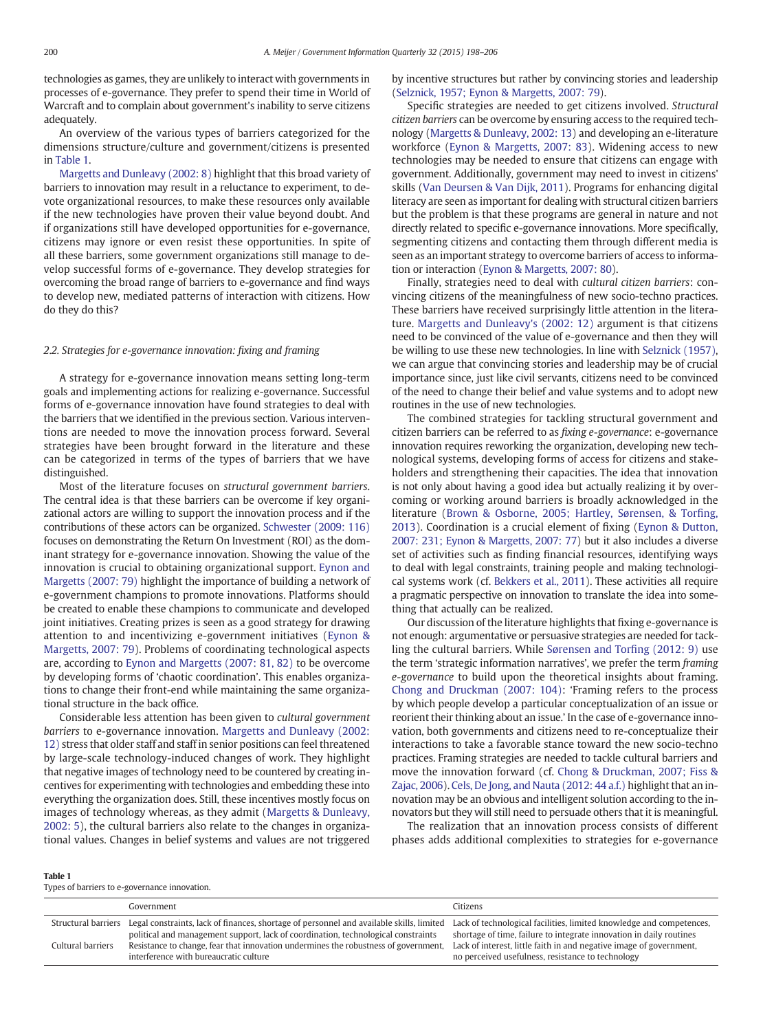technologies as games, they are unlikely to interact with governments in processes of e-governance. They prefer to spend their time in World of Warcraft and to complain about government's inability to serve citizens adequately.

An overview of the various types of barriers categorized for the dimensions structure/culture and government/citizens is presented in Table 1.

[Margetts and Dunleavy \(2002: 8\)](#page-8-0) highlight that this broad variety of barriers to innovation may result in a reluctance to experiment, to devote organizational resources, to make these resources only available if the new technologies have proven their value beyond doubt. And if organizations still have developed opportunities for e-governance, citizens may ignore or even resist these opportunities. In spite of all these barriers, some government organizations still manage to develop successful forms of e-governance. They develop strategies for overcoming the broad range of barriers to e-governance and find ways to develop new, mediated patterns of interaction with citizens. How do they do this?

#### 2.2. Strategies for e-governance innovation: fixing and framing

A strategy for e-governance innovation means setting long-term goals and implementing actions for realizing e-governance. Successful forms of e-governance innovation have found strategies to deal with the barriers that we identified in the previous section. Various interventions are needed to move the innovation process forward. Several strategies have been brought forward in the literature and these can be categorized in terms of the types of barriers that we have distinguished.

Most of the literature focuses on structural government barriers. The central idea is that these barriers can be overcome if key organizational actors are willing to support the innovation process and if the contributions of these actors can be organized. [Schwester \(2009: 116\)](#page-8-0) focuses on demonstrating the Return On Investment (ROI) as the dominant strategy for e-governance innovation. Showing the value of the innovation is crucial to obtaining organizational support. [Eynon and](#page-7-0) [Margetts \(2007: 79\)](#page-7-0) highlight the importance of building a network of e-government champions to promote innovations. Platforms should be created to enable these champions to communicate and developed joint initiatives. Creating prizes is seen as a good strategy for drawing attention to and incentivizing e-government initiatives [\(Eynon &](#page-7-0) [Margetts, 2007: 79\)](#page-7-0). Problems of coordinating technological aspects are, according to [Eynon and Margetts \(2007: 81, 82\)](#page-7-0) to be overcome by developing forms of 'chaotic coordination'. This enables organizations to change their front-end while maintaining the same organizational structure in the back office.

Considerable less attention has been given to cultural government barriers to e-governance innovation. [Margetts and Dunleavy \(2002:](#page-8-0) [12\)](#page-8-0) stress that older staff and staff in senior positions can feel threatened by large-scale technology-induced changes of work. They highlight that negative images of technology need to be countered by creating incentives for experimenting with technologies and embedding these into everything the organization does. Still, these incentives mostly focus on images of technology whereas, as they admit [\(Margetts & Dunleavy,](#page-8-0) [2002: 5](#page-8-0)), the cultural barriers also relate to the changes in organizational values. Changes in belief systems and values are not triggered

by incentive structures but rather by convincing stories and leadership [\(Selznick, 1957; Eynon & Margetts, 2007: 79\)](#page-8-0).

Specific strategies are needed to get citizens involved. Structural citizen barriers can be overcome by ensuring access to the required technology [\(Margetts & Dunleavy, 2002: 13](#page-8-0)) and developing an e-literature workforce ([Eynon & Margetts, 2007: 83](#page-7-0)). Widening access to new technologies may be needed to ensure that citizens can engage with government. Additionally, government may need to invest in citizens' skills ([Van Deursen & Van Dijk, 2011](#page-8-0)). Programs for enhancing digital literacy are seen as important for dealing with structural citizen barriers but the problem is that these programs are general in nature and not directly related to specific e-governance innovations. More specifically, segmenting citizens and contacting them through different media is seen as an important strategy to overcome barriers of access to information or interaction ([Eynon & Margetts, 2007: 80\)](#page-7-0).

Finally, strategies need to deal with cultural citizen barriers: convincing citizens of the meaningfulness of new socio-techno practices. These barriers have received surprisingly little attention in the literature. [Margetts and Dunleavy's \(2002: 12\)](#page-8-0) argument is that citizens need to be convinced of the value of e-governance and then they will be willing to use these new technologies. In line with [Selznick \(1957\),](#page-8-0) we can argue that convincing stories and leadership may be of crucial importance since, just like civil servants, citizens need to be convinced of the need to change their belief and value systems and to adopt new routines in the use of new technologies.

The combined strategies for tackling structural government and citizen barriers can be referred to as fixing e-governance: e-governance innovation requires reworking the organization, developing new technological systems, developing forms of access for citizens and stakeholders and strengthening their capacities. The idea that innovation is not only about having a good idea but actually realizing it by overcoming or working around barriers is broadly acknowledged in the literature ([Brown & Osborne, 2005; Hartley, Sørensen, & Tor](#page-7-0)fing, [2013](#page-7-0)). Coordination is a crucial element of fixing [\(Eynon & Dutton,](#page-7-0) [2007: 231; Eynon & Margetts, 2007: 77](#page-7-0)) but it also includes a diverse set of activities such as finding financial resources, identifying ways to deal with legal constraints, training people and making technological systems work (cf. [Bekkers et al., 2011\)](#page-7-0). These activities all require a pragmatic perspective on innovation to translate the idea into something that actually can be realized.

Our discussion of the literature highlights that fixing e-governance is not enough: argumentative or persuasive strategies are needed for tackling the cultural barriers. While [Sørensen and Tor](#page-8-0)fing (2012: 9) use the term 'strategic information narratives', we prefer the term framing e-governance to build upon the theoretical insights about framing. [Chong and Druckman \(2007: 104\):](#page-7-0) 'Framing refers to the process by which people develop a particular conceptualization of an issue or reorient their thinking about an issue.' In the case of e-governance innovation, both governments and citizens need to re-conceptualize their interactions to take a favorable stance toward the new socio-techno practices. Framing strategies are needed to tackle cultural barriers and move the innovation forward (cf. [Chong & Druckman, 2007; Fiss &](#page-7-0) [Zajac, 2006](#page-7-0)). [Cels, De Jong, and Nauta \(2012: 44 a.f.\)](#page-7-0) highlight that an innovation may be an obvious and intelligent solution according to the innovators but they will still need to persuade others that it is meaningful.

The realization that an innovation process consists of different phases adds additional complexities to strategies for e-governance

#### Table 1

|                     | Government                                                                                                                    | Citizens                                                                                                                 |
|---------------------|-------------------------------------------------------------------------------------------------------------------------------|--------------------------------------------------------------------------------------------------------------------------|
| Structural barriers | Legal constraints, lack of finances, shortage of personnel and available skills, limited                                      | Lack of technological facilities, limited knowledge and competences,                                                     |
|                     | political and management support, lack of coordination, technological constraints                                             | shortage of time, failure to integrate innovation in daily routines                                                      |
| Cultural barriers   | Resistance to change, fear that innovation undermines the robustness of government,<br>interference with bureaucratic culture | Lack of interest, little faith in and negative image of government,<br>no perceived usefulness, resistance to technology |
|                     |                                                                                                                               |                                                                                                                          |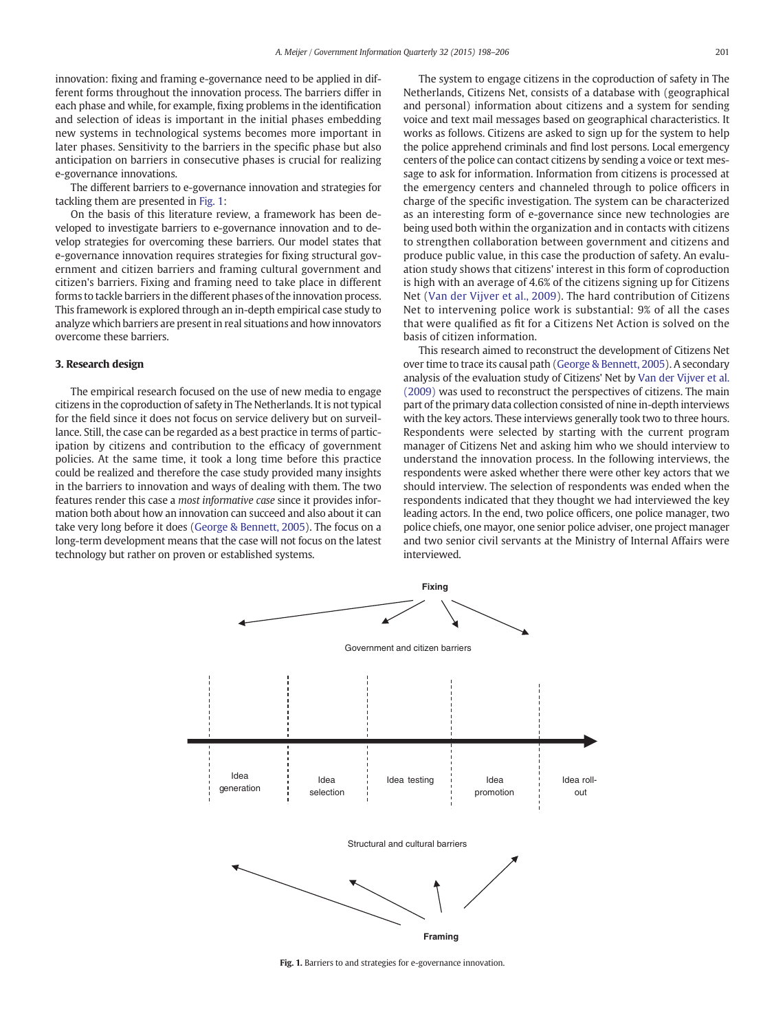innovation: fixing and framing e-governance need to be applied in different forms throughout the innovation process. The barriers differ in each phase and while, for example, fixing problems in the identification and selection of ideas is important in the initial phases embedding new systems in technological systems becomes more important in later phases. Sensitivity to the barriers in the specific phase but also anticipation on barriers in consecutive phases is crucial for realizing e-governance innovations.

The different barriers to e-governance innovation and strategies for tackling them are presented in Fig. 1:

On the basis of this literature review, a framework has been developed to investigate barriers to e-governance innovation and to develop strategies for overcoming these barriers. Our model states that e-governance innovation requires strategies for fixing structural government and citizen barriers and framing cultural government and citizen's barriers. Fixing and framing need to take place in different forms to tackle barriers in the different phases of the innovation process. This framework is explored through an in-depth empirical case study to analyze which barriers are present in real situations and how innovators overcome these barriers.

#### 3. Research design

The empirical research focused on the use of new media to engage citizens in the coproduction of safety in The Netherlands. It is not typical for the field since it does not focus on service delivery but on surveillance. Still, the case can be regarded as a best practice in terms of participation by citizens and contribution to the efficacy of government policies. At the same time, it took a long time before this practice could be realized and therefore the case study provided many insights in the barriers to innovation and ways of dealing with them. The two features render this case a most informative case since it provides information both about how an innovation can succeed and also about it can take very long before it does ([George & Bennett, 2005\)](#page-7-0). The focus on a long-term development means that the case will not focus on the latest technology but rather on proven or established systems.

The system to engage citizens in the coproduction of safety in The Netherlands, Citizens Net, consists of a database with (geographical and personal) information about citizens and a system for sending voice and text mail messages based on geographical characteristics. It works as follows. Citizens are asked to sign up for the system to help the police apprehend criminals and find lost persons. Local emergency centers of the police can contact citizens by sending a voice or text message to ask for information. Information from citizens is processed at the emergency centers and channeled through to police officers in charge of the specific investigation. The system can be characterized as an interesting form of e-governance since new technologies are being used both within the organization and in contacts with citizens to strengthen collaboration between government and citizens and produce public value, in this case the production of safety. An evaluation study shows that citizens' interest in this form of coproduction is high with an average of 4.6% of the citizens signing up for Citizens Net ([Van der Vijver et al., 2009](#page-8-0)). The hard contribution of Citizens Net to intervening police work is substantial: 9% of all the cases that were qualified as fit for a Citizens Net Action is solved on the basis of citizen information.

This research aimed to reconstruct the development of Citizens Net over time to trace its causal path ([George & Bennett, 2005\)](#page-7-0). A secondary analysis of the evaluation study of Citizens' Net by [Van der Vijver et al.](#page-8-0) [\(2009\)](#page-8-0) was used to reconstruct the perspectives of citizens. The main part of the primary data collection consisted of nine in-depth interviews with the key actors. These interviews generally took two to three hours. Respondents were selected by starting with the current program manager of Citizens Net and asking him who we should interview to understand the innovation process. In the following interviews, the respondents were asked whether there were other key actors that we should interview. The selection of respondents was ended when the respondents indicated that they thought we had interviewed the key leading actors. In the end, two police officers, one police manager, two police chiefs, one mayor, one senior police adviser, one project manager and two senior civil servants at the Ministry of Internal Affairs were interviewed.



Fig. 1. Barriers to and strategies for e-governance innovation.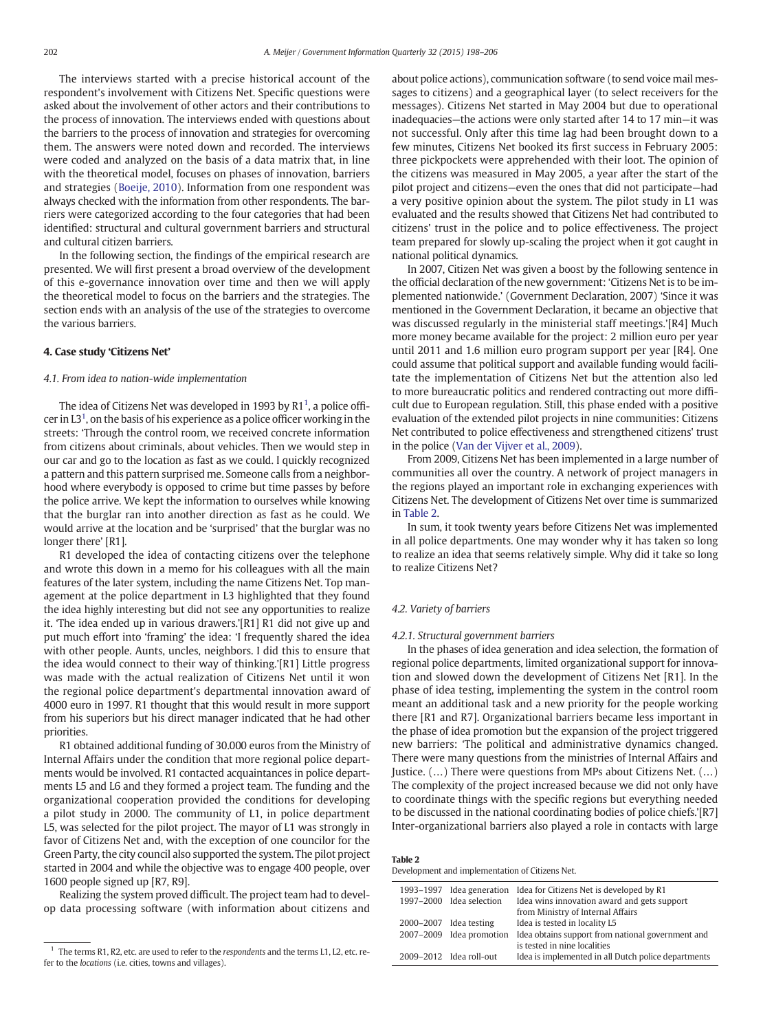The interviews started with a precise historical account of the respondent's involvement with Citizens Net. Specific questions were asked about the involvement of other actors and their contributions to the process of innovation. The interviews ended with questions about the barriers to the process of innovation and strategies for overcoming them. The answers were noted down and recorded. The interviews were coded and analyzed on the basis of a data matrix that, in line with the theoretical model, focuses on phases of innovation, barriers and strategies [\(Boeije, 2010](#page-7-0)). Information from one respondent was always checked with the information from other respondents. The barriers were categorized according to the four categories that had been identified: structural and cultural government barriers and structural and cultural citizen barriers.

In the following section, the findings of the empirical research are presented. We will first present a broad overview of the development of this e-governance innovation over time and then we will apply the theoretical model to focus on the barriers and the strategies. The section ends with an analysis of the use of the strategies to overcome the various barriers.

#### 4. Case study 'Citizens Net'

#### 4.1. From idea to nation-wide implementation

The idea of Citizens Net was developed in 1993 by  $R1<sup>1</sup>$ , a police officer in  $L3<sup>1</sup>$ , on the basis of his experience as a police officer working in the streets: 'Through the control room, we received concrete information from citizens about criminals, about vehicles. Then we would step in our car and go to the location as fast as we could. I quickly recognized a pattern and this pattern surprised me. Someone calls from a neighborhood where everybody is opposed to crime but time passes by before the police arrive. We kept the information to ourselves while knowing that the burglar ran into another direction as fast as he could. We would arrive at the location and be 'surprised' that the burglar was no longer there' [R1].

R1 developed the idea of contacting citizens over the telephone and wrote this down in a memo for his colleagues with all the main features of the later system, including the name Citizens Net. Top management at the police department in L3 highlighted that they found the idea highly interesting but did not see any opportunities to realize it. 'The idea ended up in various drawers.'[R1] R1 did not give up and put much effort into 'framing' the idea: 'I frequently shared the idea with other people. Aunts, uncles, neighbors. I did this to ensure that the idea would connect to their way of thinking.'[R1] Little progress was made with the actual realization of Citizens Net until it won the regional police department's departmental innovation award of 4000 euro in 1997. R1 thought that this would result in more support from his superiors but his direct manager indicated that he had other priorities.

R1 obtained additional funding of 30.000 euros from the Ministry of Internal Affairs under the condition that more regional police departments would be involved. R1 contacted acquaintances in police departments L5 and L6 and they formed a project team. The funding and the organizational cooperation provided the conditions for developing a pilot study in 2000. The community of L1, in police department L5, was selected for the pilot project. The mayor of L1 was strongly in favor of Citizens Net and, with the exception of one councilor for the Green Party, the city council also supported the system. The pilot project started in 2004 and while the objective was to engage 400 people, over 1600 people signed up [R7, R9].

Realizing the system proved difficult. The project team had to develop data processing software (with information about citizens and about police actions), communication software (to send voice mail messages to citizens) and a geographical layer (to select receivers for the messages). Citizens Net started in May 2004 but due to operational inadequacies—the actions were only started after 14 to 17 min—it was not successful. Only after this time lag had been brought down to a few minutes, Citizens Net booked its first success in February 2005: three pickpockets were apprehended with their loot. The opinion of the citizens was measured in May 2005, a year after the start of the pilot project and citizens—even the ones that did not participate—had a very positive opinion about the system. The pilot study in L1 was evaluated and the results showed that Citizens Net had contributed to citizens' trust in the police and to police effectiveness. The project team prepared for slowly up-scaling the project when it got caught in national political dynamics.

In 2007, Citizen Net was given a boost by the following sentence in the official declaration of the new government: 'Citizens Net is to be implemented nationwide.' (Government Declaration, 2007) 'Since it was mentioned in the Government Declaration, it became an objective that was discussed regularly in the ministerial staff meetings.'[R4] Much more money became available for the project: 2 million euro per year until 2011 and 1.6 million euro program support per year [R4]. One could assume that political support and available funding would facilitate the implementation of Citizens Net but the attention also led to more bureaucratic politics and rendered contracting out more difficult due to European regulation. Still, this phase ended with a positive evaluation of the extended pilot projects in nine communities: Citizens Net contributed to police effectiveness and strengthened citizens' trust in the police [\(Van der Vijver et al., 2009\)](#page-8-0).

From 2009, Citizens Net has been implemented in a large number of communities all over the country. A network of project managers in the regions played an important role in exchanging experiences with Citizens Net. The development of Citizens Net over time is summarized in Table 2.

In sum, it took twenty years before Citizens Net was implemented in all police departments. One may wonder why it has taken so long to realize an idea that seems relatively simple. Why did it take so long to realize Citizens Net?

#### 4.2. Variety of barriers

#### 4.2.1. Structural government barriers

In the phases of idea generation and idea selection, the formation of regional police departments, limited organizational support for innovation and slowed down the development of Citizens Net [R1]. In the phase of idea testing, implementing the system in the control room meant an additional task and a new priority for the people working there [R1 and R7]. Organizational barriers became less important in the phase of idea promotion but the expansion of the project triggered new barriers: 'The political and administrative dynamics changed. There were many questions from the ministries of Internal Affairs and Justice. (…) There were questions from MPs about Citizens Net. (…) The complexity of the project increased because we did not only have to coordinate things with the specific regions but everything needed to be discussed in the national coordinating bodies of police chiefs.'[R7] Inter-organizational barriers also played a role in contacts with large

Development and implementation of Citizens Net.

|  |                          | 1993–1997 Idea generation Idea for Citizens Net is developed by R1 |
|--|--------------------------|--------------------------------------------------------------------|
|  | 1997-2000 Idea selection | Idea wins innovation award and gets support                        |
|  |                          | from Ministry of Internal Affairs                                  |
|  | 2000–2007 Idea testing   | Idea is tested in locality L5                                      |
|  | 2007-2009 Idea promotion | Idea obtains support from national government and                  |
|  |                          | is tested in nine localities                                       |
|  | 2009-2012 Idea roll-out  | Idea is implemented in all Dutch police departments                |
|  |                          |                                                                    |

 $1$  The terms R1, R2, etc. are used to refer to the respondents and the terms L1, L2, etc. refer to the locations (i.e. cities, towns and villages).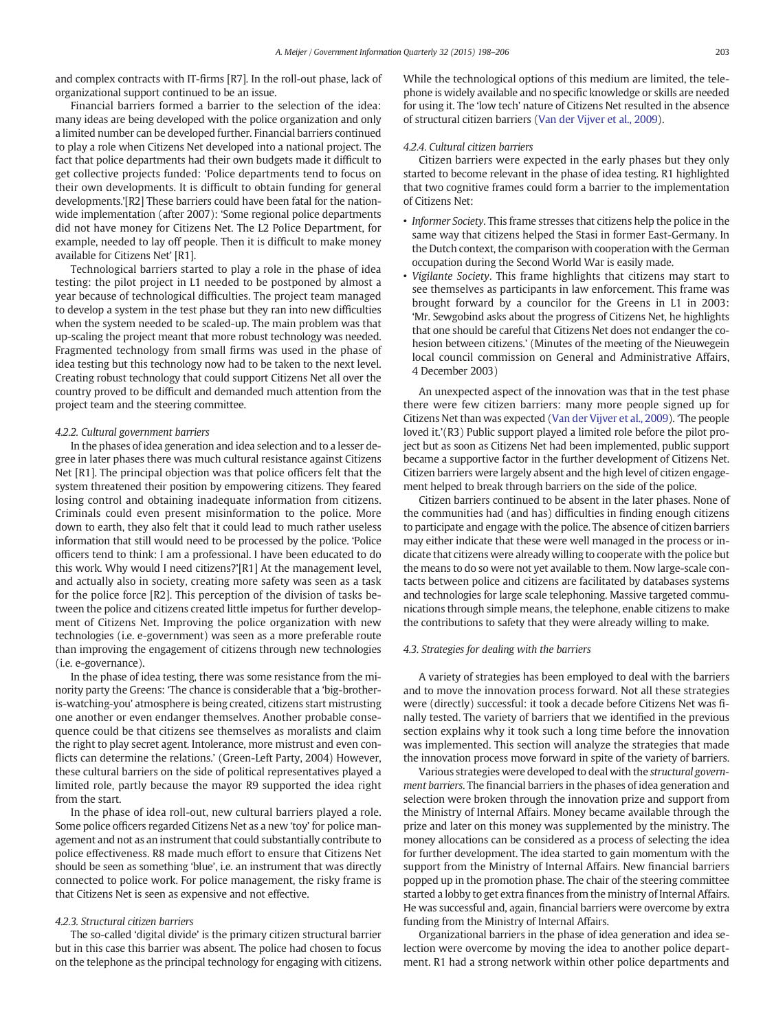and complex contracts with IT-firms [R7]. In the roll-out phase, lack of organizational support continued to be an issue.

Financial barriers formed a barrier to the selection of the idea: many ideas are being developed with the police organization and only a limited number can be developed further. Financial barriers continued to play a role when Citizens Net developed into a national project. The fact that police departments had their own budgets made it difficult to get collective projects funded: 'Police departments tend to focus on their own developments. It is difficult to obtain funding for general developments.'[R2] These barriers could have been fatal for the nationwide implementation (after 2007): 'Some regional police departments did not have money for Citizens Net. The L2 Police Department, for example, needed to lay off people. Then it is difficult to make money available for Citizens Net' [R1].

Technological barriers started to play a role in the phase of idea testing: the pilot project in L1 needed to be postponed by almost a year because of technological difficulties. The project team managed to develop a system in the test phase but they ran into new difficulties when the system needed to be scaled-up. The main problem was that up-scaling the project meant that more robust technology was needed. Fragmented technology from small firms was used in the phase of idea testing but this technology now had to be taken to the next level. Creating robust technology that could support Citizens Net all over the country proved to be difficult and demanded much attention from the project team and the steering committee.

#### 4.2.2. Cultural government barriers

In the phases of idea generation and idea selection and to a lesser degree in later phases there was much cultural resistance against Citizens Net [R1]. The principal objection was that police officers felt that the system threatened their position by empowering citizens. They feared losing control and obtaining inadequate information from citizens. Criminals could even present misinformation to the police. More down to earth, they also felt that it could lead to much rather useless information that still would need to be processed by the police. 'Police officers tend to think: I am a professional. I have been educated to do this work. Why would I need citizens?'[R1] At the management level, and actually also in society, creating more safety was seen as a task for the police force [R2]. This perception of the division of tasks between the police and citizens created little impetus for further development of Citizens Net. Improving the police organization with new technologies (i.e. e-government) was seen as a more preferable route than improving the engagement of citizens through new technologies (i.e. e-governance).

In the phase of idea testing, there was some resistance from the minority party the Greens: 'The chance is considerable that a 'big-brotheris-watching-you' atmosphere is being created, citizens start mistrusting one another or even endanger themselves. Another probable consequence could be that citizens see themselves as moralists and claim the right to play secret agent. Intolerance, more mistrust and even conflicts can determine the relations.' (Green-Left Party, 2004) However, these cultural barriers on the side of political representatives played a limited role, partly because the mayor R9 supported the idea right from the start.

In the phase of idea roll-out, new cultural barriers played a role. Some police officers regarded Citizens Net as a new 'toy' for police management and not as an instrument that could substantially contribute to police effectiveness. R8 made much effort to ensure that Citizens Net should be seen as something 'blue', i.e. an instrument that was directly connected to police work. For police management, the risky frame is that Citizens Net is seen as expensive and not effective.

#### 4.2.3. Structural citizen barriers

The so-called 'digital divide' is the primary citizen structural barrier but in this case this barrier was absent. The police had chosen to focus on the telephone as the principal technology for engaging with citizens.

While the technological options of this medium are limited, the telephone is widely available and no specific knowledge or skills are needed for using it. The 'low tech' nature of Citizens Net resulted in the absence of structural citizen barriers [\(Van der Vijver et al., 2009](#page-8-0)).

#### 4.2.4. Cultural citizen barriers

Citizen barriers were expected in the early phases but they only started to become relevant in the phase of idea testing. R1 highlighted that two cognitive frames could form a barrier to the implementation of Citizens Net:

- Informer Society. This frame stresses that citizens help the police in the same way that citizens helped the Stasi in former East-Germany. In the Dutch context, the comparison with cooperation with the German occupation during the Second World War is easily made.
- Vigilante Society. This frame highlights that citizens may start to see themselves as participants in law enforcement. This frame was brought forward by a councilor for the Greens in L1 in 2003: 'Mr. Sewgobind asks about the progress of Citizens Net, he highlights that one should be careful that Citizens Net does not endanger the cohesion between citizens.' (Minutes of the meeting of the Nieuwegein local council commission on General and Administrative Affairs, 4 December 2003)

An unexpected aspect of the innovation was that in the test phase there were few citizen barriers: many more people signed up for Citizens Net than was expected [\(Van der Vijver et al., 2009](#page-8-0)). 'The people loved it.'(R3) Public support played a limited role before the pilot project but as soon as Citizens Net had been implemented, public support became a supportive factor in the further development of Citizens Net. Citizen barriers were largely absent and the high level of citizen engagement helped to break through barriers on the side of the police.

Citizen barriers continued to be absent in the later phases. None of the communities had (and has) difficulties in finding enough citizens to participate and engage with the police. The absence of citizen barriers may either indicate that these were well managed in the process or indicate that citizens were already willing to cooperate with the police but the means to do so were not yet available to them. Now large-scale contacts between police and citizens are facilitated by databases systems and technologies for large scale telephoning. Massive targeted communications through simple means, the telephone, enable citizens to make the contributions to safety that they were already willing to make.

#### 4.3. Strategies for dealing with the barriers

A variety of strategies has been employed to deal with the barriers and to move the innovation process forward. Not all these strategies were (directly) successful: it took a decade before Citizens Net was finally tested. The variety of barriers that we identified in the previous section explains why it took such a long time before the innovation was implemented. This section will analyze the strategies that made the innovation process move forward in spite of the variety of barriers.

Various strategies were developed to deal with the structural government barriers. The financial barriers in the phases of idea generation and selection were broken through the innovation prize and support from the Ministry of Internal Affairs. Money became available through the prize and later on this money was supplemented by the ministry. The money allocations can be considered as a process of selecting the idea for further development. The idea started to gain momentum with the support from the Ministry of Internal Affairs. New financial barriers popped up in the promotion phase. The chair of the steering committee started a lobby to get extra finances from the ministry of Internal Affairs. He was successful and, again, financial barriers were overcome by extra funding from the Ministry of Internal Affairs.

Organizational barriers in the phase of idea generation and idea selection were overcome by moving the idea to another police department. R1 had a strong network within other police departments and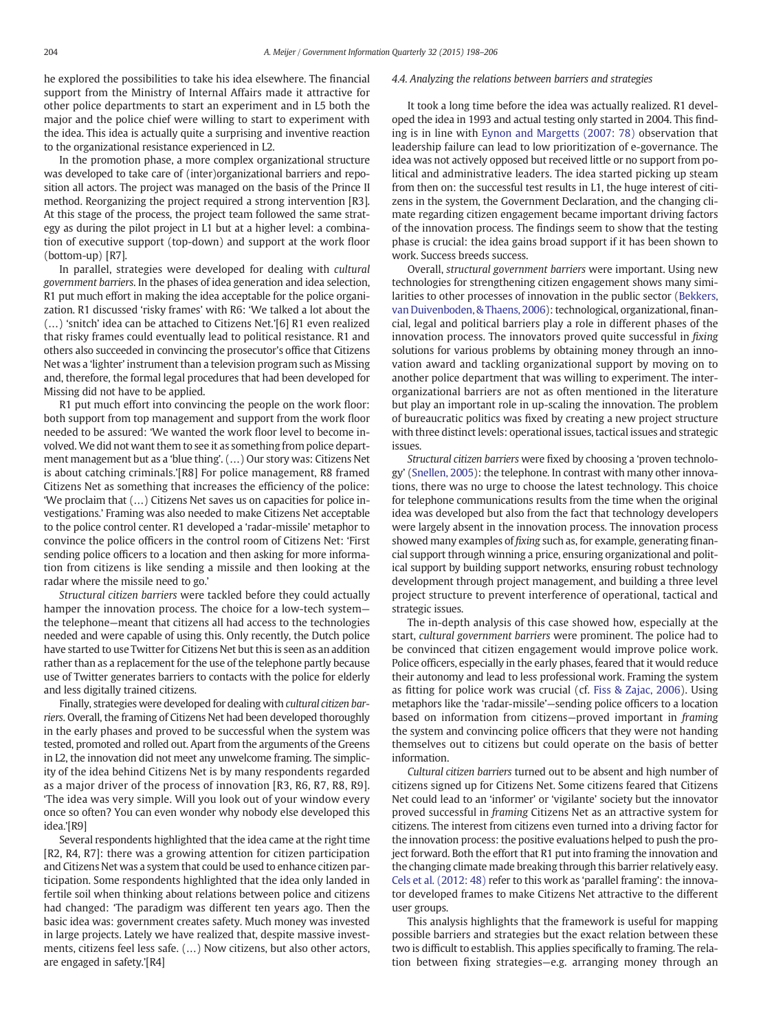he explored the possibilities to take his idea elsewhere. The financial support from the Ministry of Internal Affairs made it attractive for other police departments to start an experiment and in L5 both the major and the police chief were willing to start to experiment with the idea. This idea is actually quite a surprising and inventive reaction to the organizational resistance experienced in L2.

In the promotion phase, a more complex organizational structure was developed to take care of (inter)organizational barriers and reposition all actors. The project was managed on the basis of the Prince II method. Reorganizing the project required a strong intervention [R3]. At this stage of the process, the project team followed the same strategy as during the pilot project in L1 but at a higher level: a combination of executive support (top-down) and support at the work floor (bottom-up) [R7].

In parallel, strategies were developed for dealing with cultural government barriers. In the phases of idea generation and idea selection, R1 put much effort in making the idea acceptable for the police organization. R1 discussed 'risky frames' with R6: 'We talked a lot about the (…) 'snitch' idea can be attached to Citizens Net.'[6] R1 even realized that risky frames could eventually lead to political resistance. R1 and others also succeeded in convincing the prosecutor's office that Citizens Net was a 'lighter' instrument than a television program such as Missing and, therefore, the formal legal procedures that had been developed for Missing did not have to be applied.

R1 put much effort into convincing the people on the work floor: both support from top management and support from the work floor needed to be assured: 'We wanted the work floor level to become involved. We did not want them to see it as something from police department management but as a 'blue thing'. (…) Our story was: Citizens Net is about catching criminals.'[R8] For police management, R8 framed Citizens Net as something that increases the efficiency of the police: 'We proclaim that (…) Citizens Net saves us on capacities for police investigations.' Framing was also needed to make Citizens Net acceptable to the police control center. R1 developed a 'radar-missile' metaphor to convince the police officers in the control room of Citizens Net: 'First sending police officers to a location and then asking for more information from citizens is like sending a missile and then looking at the radar where the missile need to go.'

Structural citizen barriers were tackled before they could actually hamper the innovation process. The choice for a low-tech systemthe telephone—meant that citizens all had access to the technologies needed and were capable of using this. Only recently, the Dutch police have started to use Twitter for Citizens Net but this is seen as an addition rather than as a replacement for the use of the telephone partly because use of Twitter generates barriers to contacts with the police for elderly and less digitally trained citizens.

Finally, strategies were developed for dealing with cultural citizen barriers. Overall, the framing of Citizens Net had been developed thoroughly in the early phases and proved to be successful when the system was tested, promoted and rolled out. Apart from the arguments of the Greens in L2, the innovation did not meet any unwelcome framing. The simplicity of the idea behind Citizens Net is by many respondents regarded as a major driver of the process of innovation [R3, R6, R7, R8, R9]. 'The idea was very simple. Will you look out of your window every once so often? You can even wonder why nobody else developed this idea.'[R9]

Several respondents highlighted that the idea came at the right time [R2, R4, R7]: there was a growing attention for citizen participation and Citizens Net was a system that could be used to enhance citizen participation. Some respondents highlighted that the idea only landed in fertile soil when thinking about relations between police and citizens had changed: 'The paradigm was different ten years ago. Then the basic idea was: government creates safety. Much money was invested in large projects. Lately we have realized that, despite massive investments, citizens feel less safe. (…) Now citizens, but also other actors, are engaged in safety.'[R4]

#### 4.4. Analyzing the relations between barriers and strategies

It took a long time before the idea was actually realized. R1 developed the idea in 1993 and actual testing only started in 2004. This finding is in line with [Eynon and Margetts \(2007: 78\)](#page-7-0) observation that leadership failure can lead to low prioritization of e-governance. The idea was not actively opposed but received little or no support from political and administrative leaders. The idea started picking up steam from then on: the successful test results in L1, the huge interest of citizens in the system, the Government Declaration, and the changing climate regarding citizen engagement became important driving factors of the innovation process. The findings seem to show that the testing phase is crucial: the idea gains broad support if it has been shown to work. Success breeds success.

Overall, structural government barriers were important. Using new technologies for strengthening citizen engagement shows many similarities to other processes of innovation in the public sector ([Bekkers,](#page-7-0) [van Duivenboden, & Thaens, 2006\)](#page-7-0): technological, organizational, financial, legal and political barriers play a role in different phases of the innovation process. The innovators proved quite successful in fixing solutions for various problems by obtaining money through an innovation award and tackling organizational support by moving on to another police department that was willing to experiment. The interorganizational barriers are not as often mentioned in the literature but play an important role in up-scaling the innovation. The problem of bureaucratic politics was fixed by creating a new project structure with three distinct levels: operational issues, tactical issues and strategic issues.

Structural citizen barriers were fixed by choosing a 'proven technology' [\(Snellen, 2005](#page-8-0)): the telephone. In contrast with many other innovations, there was no urge to choose the latest technology. This choice for telephone communications results from the time when the original idea was developed but also from the fact that technology developers were largely absent in the innovation process. The innovation process showed many examples of fixing such as, for example, generating financial support through winning a price, ensuring organizational and political support by building support networks, ensuring robust technology development through project management, and building a three level project structure to prevent interference of operational, tactical and strategic issues.

The in-depth analysis of this case showed how, especially at the start, cultural government barriers were prominent. The police had to be convinced that citizen engagement would improve police work. Police officers, especially in the early phases, feared that it would reduce their autonomy and lead to less professional work. Framing the system as fitting for police work was crucial (cf. [Fiss & Zajac, 2006\)](#page-7-0). Using metaphors like the 'radar-missile'—sending police officers to a location based on information from citizens—proved important in framing the system and convincing police officers that they were not handing themselves out to citizens but could operate on the basis of better information.

Cultural citizen barriers turned out to be absent and high number of citizens signed up for Citizens Net. Some citizens feared that Citizens Net could lead to an 'informer' or 'vigilante' society but the innovator proved successful in framing Citizens Net as an attractive system for citizens. The interest from citizens even turned into a driving factor for the innovation process: the positive evaluations helped to push the project forward. Both the effort that R1 put into framing the innovation and the changing climate made breaking through this barrier relatively easy. [Cels et al. \(2012: 48\)](#page-7-0) refer to this work as 'parallel framing': the innovator developed frames to make Citizens Net attractive to the different user groups.

This analysis highlights that the framework is useful for mapping possible barriers and strategies but the exact relation between these two is difficult to establish. This applies specifically to framing. The relation between fixing strategies—e.g. arranging money through an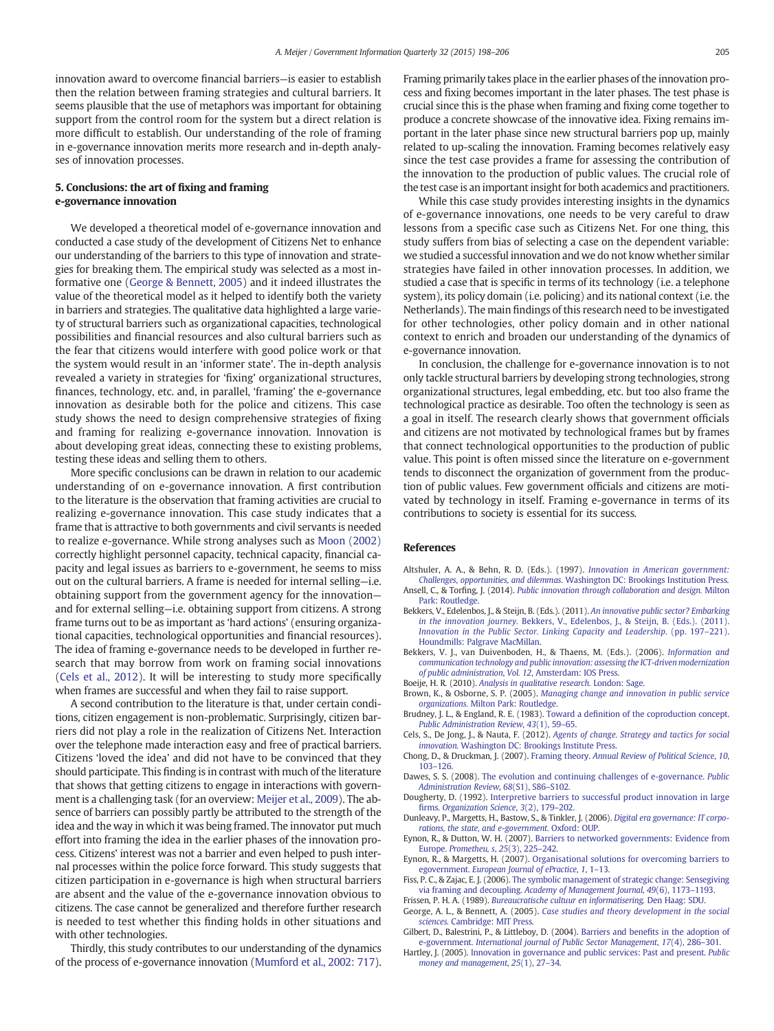<span id="page-7-0"></span>innovation award to overcome financial barriers—is easier to establish then the relation between framing strategies and cultural barriers. It seems plausible that the use of metaphors was important for obtaining support from the control room for the system but a direct relation is more difficult to establish. Our understanding of the role of framing in e-governance innovation merits more research and in-depth analyses of innovation processes.

### 5. Conclusions: the art of fixing and framing e-governance innovation

We developed a theoretical model of e-governance innovation and conducted a case study of the development of Citizens Net to enhance our understanding of the barriers to this type of innovation and strategies for breaking them. The empirical study was selected as a most informative one (George & Bennett, 2005) and it indeed illustrates the value of the theoretical model as it helped to identify both the variety in barriers and strategies. The qualitative data highlighted a large variety of structural barriers such as organizational capacities, technological possibilities and financial resources and also cultural barriers such as the fear that citizens would interfere with good police work or that the system would result in an 'informer state'. The in-depth analysis revealed a variety in strategies for 'fixing' organizational structures, finances, technology, etc. and, in parallel, 'framing' the e-governance innovation as desirable both for the police and citizens. This case study shows the need to design comprehensive strategies of fixing and framing for realizing e-governance innovation. Innovation is about developing great ideas, connecting these to existing problems, testing these ideas and selling them to others.

More specific conclusions can be drawn in relation to our academic understanding of on e-governance innovation. A first contribution to the literature is the observation that framing activities are crucial to realizing e-governance innovation. This case study indicates that a frame that is attractive to both governments and civil servants is needed to realize e-governance. While strong analyses such as [Moon \(2002\)](#page-8-0) correctly highlight personnel capacity, technical capacity, financial capacity and legal issues as barriers to e-government, he seems to miss out on the cultural barriers. A frame is needed for internal selling—i.e. obtaining support from the government agency for the innovation and for external selling—i.e. obtaining support from citizens. A strong frame turns out to be as important as 'hard actions' (ensuring organizational capacities, technological opportunities and financial resources). The idea of framing e-governance needs to be developed in further research that may borrow from work on framing social innovations (Cels et al., 2012). It will be interesting to study more specifically when frames are successful and when they fail to raise support.

A second contribution to the literature is that, under certain conditions, citizen engagement is non-problematic. Surprisingly, citizen barriers did not play a role in the realization of Citizens Net. Interaction over the telephone made interaction easy and free of practical barriers. Citizens 'loved the idea' and did not have to be convinced that they should participate. This finding is in contrast with much of the literature that shows that getting citizens to engage in interactions with government is a challenging task (for an overview: [Meijer et al., 2009](#page-8-0)). The absence of barriers can possibly partly be attributed to the strength of the idea and the way in which it was being framed. The innovator put much effort into framing the idea in the earlier phases of the innovation process. Citizens' interest was not a barrier and even helped to push internal processes within the police force forward. This study suggests that citizen participation in e-governance is high when structural barriers are absent and the value of the e-governance innovation obvious to citizens. The case cannot be generalized and therefore further research is needed to test whether this finding holds in other situations and with other technologies.

Thirdly, this study contributes to our understanding of the dynamics of the process of e-governance innovation [\(Mumford et al., 2002: 717](#page-8-0)). Framing primarily takes place in the earlier phases of the innovation process and fixing becomes important in the later phases. The test phase is crucial since this is the phase when framing and fixing come together to produce a concrete showcase of the innovative idea. Fixing remains important in the later phase since new structural barriers pop up, mainly related to up-scaling the innovation. Framing becomes relatively easy since the test case provides a frame for assessing the contribution of the innovation to the production of public values. The crucial role of the test case is an important insight for both academics and practitioners.

While this case study provides interesting insights in the dynamics of e-governance innovations, one needs to be very careful to draw lessons from a specific case such as Citizens Net. For one thing, this study suffers from bias of selecting a case on the dependent variable: we studied a successful innovation and we do not know whether similar strategies have failed in other innovation processes. In addition, we studied a case that is specific in terms of its technology (i.e. a telephone system), its policy domain (i.e. policing) and its national context (i.e. the Netherlands). The main findings of this research need to be investigated for other technologies, other policy domain and in other national context to enrich and broaden our understanding of the dynamics of e-governance innovation.

In conclusion, the challenge for e-governance innovation is to not only tackle structural barriers by developing strong technologies, strong organizational structures, legal embedding, etc. but too also frame the technological practice as desirable. Too often the technology is seen as a goal in itself. The research clearly shows that government officials and citizens are not motivated by technological frames but by frames that connect technological opportunities to the production of public value. This point is often missed since the literature on e-government tends to disconnect the organization of government from the production of public values. Few government officials and citizens are motivated by technology in itself. Framing e-governance in terms of its contributions to society is essential for its success.

#### References

- Altshuler, A. A., & Behn, R. D. (Eds.). (1997). [Innovation in American government:](http://refhub.elsevier.com/S0740-624X(15)00019-2/rf0005) Challenges, opportunities, and dilemmas[. Washington DC: Brookings Institution Press.](http://refhub.elsevier.com/S0740-624X(15)00019-2/rf0005)
- Ansell, C., & Torfing, J. (2014). [Public innovation through collaboration and design.](http://refhub.elsevier.com/S0740-624X(15)00019-2/rf0010) Milton [Park: Routledge.](http://refhub.elsevier.com/S0740-624X(15)00019-2/rf0010) Bekkers, V., Edelenbos, J., & Steijn, B. (Eds.). (2011). [An innovative public sector? Embarking](http://refhub.elsevier.com/S0740-624X(15)00019-2/rf0240)
- in the innovation journey. [Bekkers, V., Edelenbos, J., & Steijn, B. \(Eds.\). \(2011\).](http://refhub.elsevier.com/S0740-624X(15)00019-2/rf0240) [Innovation in the Public Sector. Linking Capacity and Leadership](http://refhub.elsevier.com/S0740-624X(15)00019-2/rf0240). (pp. 197–221). [Houndmills: Palgrave MacMillan.](http://refhub.elsevier.com/S0740-624X(15)00019-2/rf0240)
- Bekkers, V. J., van Duivenboden, H., & Thaens, M. (Eds.). (2006). [Information and](http://refhub.elsevier.com/S0740-624X(15)00019-2/rf0245) [communication technology and public innovation: assessing the ICT-driven modernization](http://refhub.elsevier.com/S0740-624X(15)00019-2/rf0245) of public administration, Vol. 12[, Amsterdam: IOS Press.](http://refhub.elsevier.com/S0740-624X(15)00019-2/rf0245)
- Boeije, H. R. (2010). [Analysis in qualitative research.](http://refhub.elsevier.com/S0740-624X(15)00019-2/rf0025) London: Sage.

Brown, K., & Osborne, S. P. (2005). [Managing change and innovation in public service](http://refhub.elsevier.com/S0740-624X(15)00019-2/rf0030) organizations. [Milton Park: Routledge.](http://refhub.elsevier.com/S0740-624X(15)00019-2/rf0030)

Brudney, J. L., & England, R. E. (1983). Toward a defi[nition of the coproduction concept.](http://refhub.elsevier.com/S0740-624X(15)00019-2/rf0035) [Public Administration Review](http://refhub.elsevier.com/S0740-624X(15)00019-2/rf0035), 43(1), 59–65.

Cels, S., De Jong, J., & Nauta, F. (2012). [Agents of change. Strategy and tactics for social](http://refhub.elsevier.com/S0740-624X(15)00019-2/rf0040) innovation. [Washington DC: Brookings Institute Press.](http://refhub.elsevier.com/S0740-624X(15)00019-2/rf0040)

- Chong, D., & Druckman, J. (2007). Framing theory. [Annual Review of Political Science](http://refhub.elsevier.com/S0740-624X(15)00019-2/rf0045), 10, 103–[126.](http://refhub.elsevier.com/S0740-624X(15)00019-2/rf0045)
- Dawes, S. S. (2008). [The evolution and continuing challenges of e-governance.](http://refhub.elsevier.com/S0740-624X(15)00019-2/rf0050) Public [Administration Review](http://refhub.elsevier.com/S0740-624X(15)00019-2/rf0050), 68(S1), S86–S102.
- Dougherty, D. (1992). [Interpretive barriers to successful product innovation in large](http://refhub.elsevier.com/S0740-624X(15)00019-2/rf0055) firms. [Organization Science](http://refhub.elsevier.com/S0740-624X(15)00019-2/rf0055), 3(2), 179–202.
- Dunleavy, P., Margetts, H., Bastow, S., & Tinkler, J. (2006). [Digital era governance: IT corpo](http://refhub.elsevier.com/S0740-624X(15)00019-2/rf0060)[rations, the state, and e-government.](http://refhub.elsevier.com/S0740-624X(15)00019-2/rf0060) Oxford: OUP.
- Eynon, R., & Dutton, W. H. (2007). [Barriers to networked governments: Evidence from](http://refhub.elsevier.com/S0740-624X(15)00019-2/rf0065) Europe. [Prometheu, s](http://refhub.elsevier.com/S0740-624X(15)00019-2/rf0065), 25(3), 225–242.
- Eynon, R., & Margetts, H. (2007). [Organisational solutions for overcoming barriers to](http://refhub.elsevier.com/S0740-624X(15)00019-2/rf0070) egovernment. [European Journal of ePractice](http://refhub.elsevier.com/S0740-624X(15)00019-2/rf0070), 1, 1–13.
- Fiss, P. C., & Zajac, E. J. (2006). [The symbolic management of strategic change: Sensegiving](http://refhub.elsevier.com/S0740-624X(15)00019-2/rf0075) via framing and decoupling. [Academy of Management Journal](http://refhub.elsevier.com/S0740-624X(15)00019-2/rf0075), 49(6), 1173–1193.
- Frissen, P. H. A. (1989). [Bureaucratische cultuur en informatisering.](http://refhub.elsevier.com/S0740-624X(15)00019-2/rf0080) Den Haag: SDU. George, A. L., & Bennett, A. (2005). [Case studies and theory development in the social](http://refhub.elsevier.com/S0740-624X(15)00019-2/rf0085) sciences. [Cambridge: MIT Press.](http://refhub.elsevier.com/S0740-624X(15)00019-2/rf0085)

Gilbert, D., Balestrini, P., & Littleboy, D. (2004). Barriers and benefi[ts in the adoption of](http://refhub.elsevier.com/S0740-624X(15)00019-2/rf0090) e-government. [International journal of Public Sector Management](http://refhub.elsevier.com/S0740-624X(15)00019-2/rf0090), 17(4), 286–301.

Hartley, J. (2005). [Innovation in governance and public services: Past and present.](http://refhub.elsevier.com/S0740-624X(15)00019-2/rf0095) Public [money and management](http://refhub.elsevier.com/S0740-624X(15)00019-2/rf0095), 25(1), 27–34.